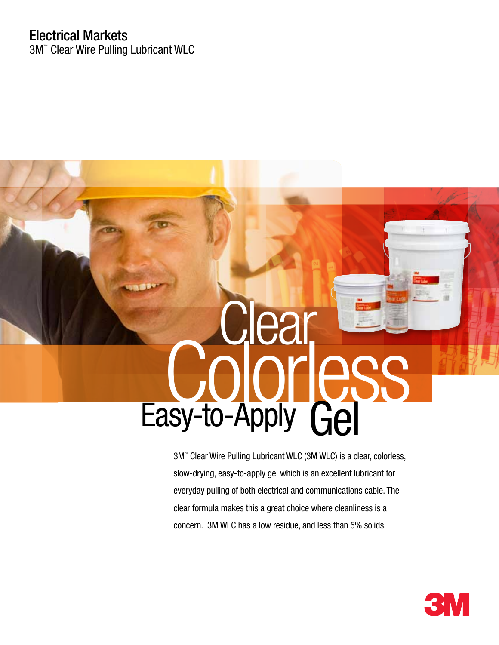# Electrical Markets

3M™ Clear Wire Pulling Lubricant WLC



3M™ Clear Wire Pulling Lubricant WLC (3M WLC) is a clear, colorless, slow-drying, easy-to-apply gel which is an excellent lubricant for everyday pulling of both electrical and communications cable. The clear formula makes this a great choice where cleanliness is a concern. 3M WLC has a low residue, and less than 5% solids.